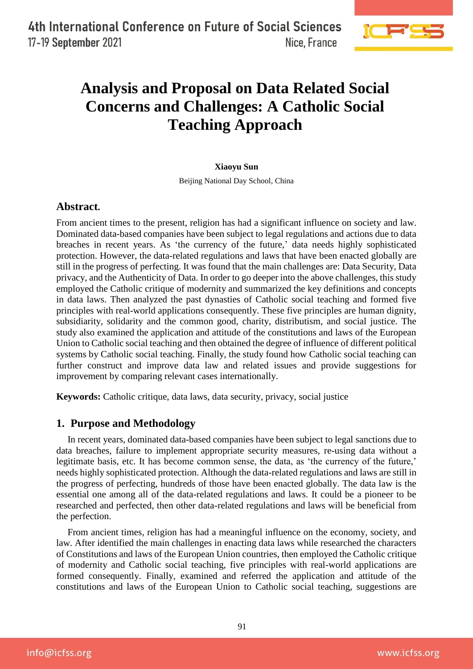

# **Analysis and Proposal on Data Related Social Concerns and Challenges: A Catholic Social Teaching Approach**

#### **Xiaoyu Sun**

Beijing National Day School, China

# **Abstract.**

From ancient times to the present, religion has had a significant influence on society and law. Dominated data-based companies have been subject to legal regulations and actions due to data breaches in recent years. As 'the currency of the future,' data needs highly sophisticated protection. However, the data-related regulations and laws that have been enacted globally are still in the progress of perfecting. It was found that the main challenges are: Data Security, Data privacy, and the Authenticity of Data. In order to go deeper into the above challenges, this study employed the Catholic critique of modernity and summarized the key definitions and concepts in data laws. Then analyzed the past dynasties of Catholic social teaching and formed five principles with real-world applications consequently. These five principles are human dignity, subsidiarity, solidarity and the common good, charity, distributism, and social justice. The study also examined the application and attitude of the constitutions and laws of the European Union to Catholic social teaching and then obtained the degree of influence of different political systems by Catholic social teaching. Finally, the study found how Catholic social teaching can further construct and improve data law and related issues and provide suggestions for improvement by comparing relevant cases internationally.

**Keywords:** Catholic critique, data laws, data security, privacy, social justice

# **1. Purpose and Methodology**

In recent years, dominated data-based companies have been subject to legal sanctions due to data breaches, failure to implement appropriate security measures, re-using data without a legitimate basis, etc. It has become common sense, the data, as 'the currency of the future,' needs highly sophisticated protection. Although the data-related regulations and laws are still in the progress of perfecting, hundreds of those have been enacted globally. The data law is the essential one among all of the data-related regulations and laws. It could be a pioneer to be researched and perfected, then other data-related regulations and laws will be beneficial from the perfection.

From ancient times, religion has had a meaningful influence on the economy, society, and law. After identified the main challenges in enacting data laws while researched the characters of Constitutions and laws of the European Union countries, then employed the Catholic critique of modernity and Catholic social teaching, five principles with real-world applications are formed consequently. Finally, examined and referred the application and attitude of the constitutions and laws of the European Union to Catholic social teaching, suggestions are

info@icfss.org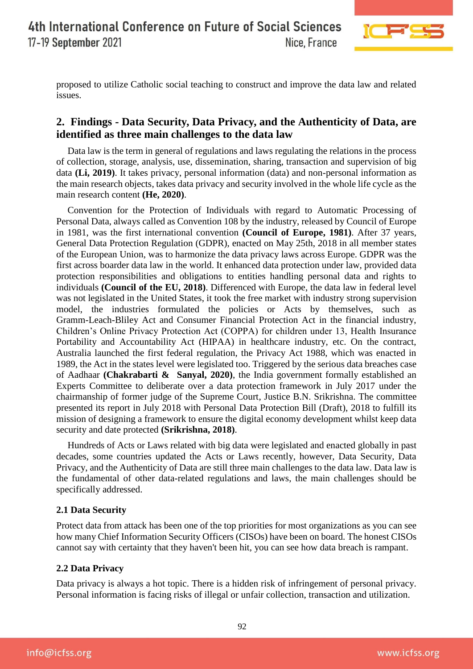

proposed to utilize Catholic social teaching to construct and improve the data law and related issues.

# **2. Findings - Data Security, Data Privacy, and the Authenticity of Data, are identified as three main challenges to the data law**

Data law is the term in general of regulations and laws regulating the relations in the process of collection, storage, analysis, use, dissemination, sharing, transaction and supervision of big data **(Li, 2019)**. It takes privacy, personal information (data) and non-personal information as the main research objects, takes data privacy and security involved in the whole life cycle as the main research content **(He, 2020)**.

Convention for the Protection of Individuals with regard to Automatic Processing of Personal Data, always called as Convention 108 by the industry, released by Council of Europe in 1981, was the first international convention **(Council of Europe, 1981)**. After 37 years, General Data Protection Regulation (GDPR), enacted on May 25th, 2018 in all member states of the European Union, was to harmonize the data privacy laws across Europe. GDPR was the first across boarder data law in the world. It enhanced data protection under law, provided data protection responsibilities and obligations to entities handling personal data and rights to individuals **(Council of the EU, 2018)**. Differenced with Europe, the data law in federal level was not legislated in the United States, it took the free market with industry strong supervision model, the industries formulated the policies or Acts by themselves, such as Gramm-Leach-Bliley Act and Consumer Financial Protection Act in the financial industry, Children's Online Privacy Protection Act (COPPA) for children under 13, Health Insurance Portability and Accountability Act (HIPAA) in healthcare industry, etc. On the contract, Australia launched the first federal regulation, the Privacy Act 1988, which was enacted in 1989, the Act in the states level were legislated too. Triggered by the serious data breaches case of Aadhaar **(Chakrabarti & Sanyal, 2020)**, the India government formally established an Experts Committee to deliberate over a data protection framework in July 2017 under the chairmanship of former judge of the Supreme Court, Justice B.N. Srikrishna. The committee presented its report in July 2018 with Personal Data Protection Bill (Draft), 2018 to fulfill its mission of designing a framework to ensure the digital economy development whilst keep data security and date protected **(Srikrishna, 2018)**.

Hundreds of Acts or Laws related with big data were legislated and enacted globally in past decades, some countries updated the Acts or Laws recently, however, Data Security, Data Privacy, and the Authenticity of Data are still three main challenges to the data law. Data law is the fundamental of other data-related regulations and laws, the main challenges should be specifically addressed.

# **2.1 Data Security**

Protect data from attack has been one of the top priorities for most organizations as you can see how many Chief Information Security Officers (CISOs) have been on board. The honest CISOs cannot say with certainty that they haven't been hit, you can see how data breach is rampant.

## **2.2 Data Privacy**

Data privacy is always a hot topic. There is a hidden risk of infringement of personal privacy. Personal information is facing risks of illegal or unfair collection, transaction and utilization.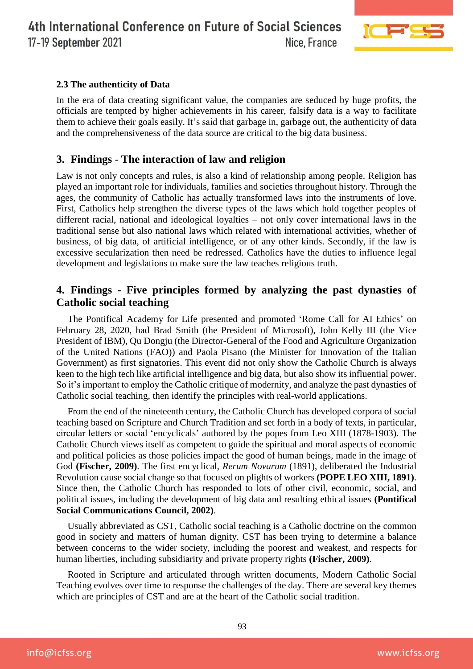

## **2.3 The authenticity of Data**

In the era of data creating significant value, the companies are seduced by huge profits, the officials are tempted by higher achievements in his career, falsify data is a way to facilitate them to achieve their goals easily. It's said that garbage in, garbage out, the authenticity of data and the comprehensiveness of the data source are critical to the big data business.

# **3. Findings - The interaction of law and religion**

Law is not only concepts and rules, is also a kind of relationship among people. Religion has played an important role for individuals, families and societies throughout history. Through the ages, the community of Catholic has actually transformed laws into the instruments of love. First, Catholics help strengthen the diverse types of the laws which hold together peoples of different racial, national and ideological loyalties – not only cover international laws in the traditional sense but also national laws which related with international activities, whether of business, of big data, of artificial intelligence, or of any other kinds. Secondly, if the law is excessive secularization then need be redressed. Catholics have the duties to influence legal development and legislations to make sure the law teaches religious truth.

# **4. Findings - Five principles formed by analyzing the past dynasties of Catholic social teaching**

The Pontifical Academy for Life presented and promoted 'Rome Call for AI Ethics' on February 28, 2020, had Brad Smith (the President of Microsoft), John Kelly III (the Vice President of IBM), Qu Dongju (the Director-General of the Food and Agriculture Organization of the United Nations (FAO)) and Paola Pisano (the Minister for Innovation of the Italian Government) as first signatories. This event did not only show the Catholic Church is always keen to the high tech like artificial intelligence and big data, but also show its influential power. So it's important to employ the Catholic critique of modernity, and analyze the past dynasties of Catholic social teaching, then identify the principles with real-world applications.

From the end of the nineteenth century, the Catholic Church has developed corpora of social teaching based on Scripture and Church Tradition and set forth in a body of texts, in particular, circular letters or social 'encyclicals' authored by the popes from Leo XIII (1878-1903). The Catholic Church views itself as competent to guide the spiritual and moral aspects of economic and political policies as those policies impact the good of human beings, made in the image of God **(Fischer, 2009)**. The first encyclical, *Rerum Novarum* (1891), deliberated the Industrial Revolution cause social change so that focused on plights of workers **(POPE LEO XIII, 1891)**. Since then, the Catholic Church has responded to lots of other civil, economic, social, and political issues, including the development of big data and resulting ethical issues **(Pontifical Social Communications Council, 2002)**.

Usually abbreviated as CST, Catholic social teaching is a Catholic doctrine on the common good in society and matters of human dignity. CST has been trying to determine a balance between concerns to the wider society, including the poorest and weakest, and respects for human liberties, including subsidiarity and private property rights **(Fischer, 2009)**.

Rooted in Scripture and articulated through written documents, Modern Catholic Social Teaching evolves over time to response the challenges of the day. There are several key themes which are principles of CST and are at the heart of the Catholic social tradition.

info@icfss.org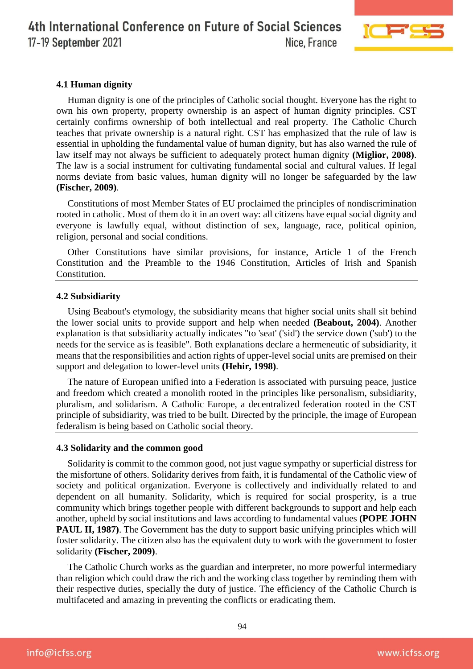

#### **4.1 Human dignity**

Human dignity is one of the principles of Catholic social thought. Everyone has the right to own his own property, property ownership is an aspect of human dignity principles. CST certainly confirms ownership of both intellectual and real property. The Catholic Church teaches that private ownership is a natural right. CST has emphasized that the rule of law is essential in upholding the fundamental value of human dignity, but has also warned the rule of law itself may not always be sufficient to adequately protect human dignity **(Miglior, 2008)**. The law is a social instrument for cultivating fundamental social and cultural values. If legal norms deviate from basic values, human dignity will no longer be safeguarded by the law **(Fischer, 2009)**.

Constitutions of most Member States of EU proclaimed the principles of nondiscrimination rooted in catholic. Most of them do it in an overt way: all citizens have equal social dignity and everyone is lawfully equal, without distinction of sex, language, race, political opinion, religion, personal and social conditions.

Other Constitutions have similar provisions, for instance, Article 1 of the French Constitution and the Preamble to the 1946 Constitution, Articles of Irish and Spanish Constitution.

#### **4.2 Subsidiarity**

Using Beabout's etymology, the subsidiarity means that higher social units shall sit behind the lower social units to provide support and help when needed **(Beabout, 2004)**. Another explanation is that subsidiarity actually indicates "to 'seat' ('sid') the service down ('sub') to the needs for the service as is feasible". Both explanations declare a hermeneutic of subsidiarity, it means that the responsibilities and action rights of upper-level social units are premised on their support and delegation to lower-level units **(Hehir, 1998)**.

The nature of European unified into a Federation is associated with pursuing peace, justice and freedom which created a monolith rooted in the principles like personalism, subsidiarity, pluralism, and solidarism. A Catholic Europe, a decentralized federation rooted in the CST principle of subsidiarity, was tried to be built. Directed by the principle, the image of European federalism is being based on Catholic social theory.

#### **4.3 Solidarity and the common good**

Solidarity is commit to the common good, not just vague sympathy or superficial distress for the misfortune of others. Solidarity derives from faith, it is fundamental of the Catholic view of society and political organization. Everyone is collectively and individually related to and dependent on all humanity. Solidarity, which is required for social prosperity, is a true community which brings together people with different backgrounds to support and help each another, upheld by social institutions and laws according to fundamental values **(POPE JOHN PAUL II, 1987**). The Government has the duty to support basic unifying principles which will foster solidarity. The citizen also has the equivalent duty to work with the government to foster solidarity **(Fischer, 2009)**.

The Catholic Church works as the guardian and interpreter, no more powerful intermediary than religion which could draw the rich and the working class together by reminding them with their respective duties, specially the duty of justice. The efficiency of the Catholic Church is multifaceted and amazing in preventing the conflicts or eradicating them.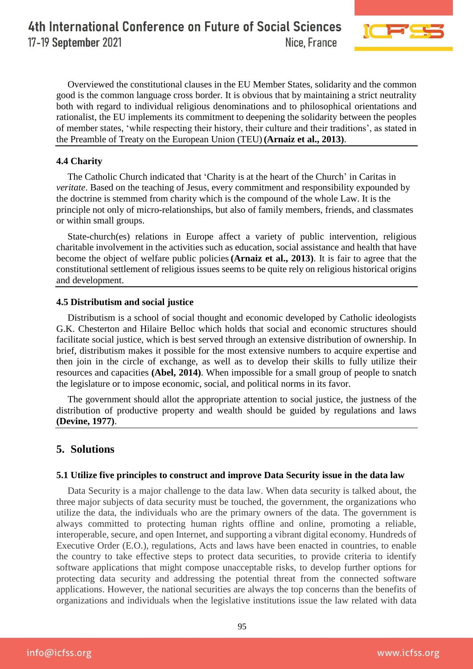

Overviewed the constitutional clauses in the EU Member States, solidarity and the common good is the common language cross border. It is obvious that by maintaining a strict neutrality both with regard to individual religious denominations and to philosophical orientations and rationalist, the EU implements its commitment to deepening the solidarity between the peoples of member states, 'while respecting their history, their culture and their traditions', as stated in the Preamble of Treaty on the European Union (TEU) **(Arnaiz et al., 2013)**.

## **4.4 Charity**

The Catholic Church indicated that 'Charity is at the heart of the Church' in Caritas in *veritate*. Based on the teaching of Jesus, every commitment and responsibility expounded by the doctrine is stemmed from charity which is the compound of the whole Law. It is the principle not only of micro-relationships, but also of family members, friends, and classmates or within small groups.

State-church(es) relations in Europe affect a variety of public intervention, religious charitable involvement in the activities such as education, social assistance and health that have become the object of welfare public policies **(Arnaiz et al., 2013)**. It is fair to agree that the constitutional settlement of religious issues seems to be quite rely on religious historical origins and development.

#### **4.5 Distributism and social justice**

Distributism is a school of social thought and economic developed by Catholic ideologists G.K. Chesterton and Hilaire Belloc which holds that social and economic structures should facilitate social justice, which is best served through an extensive distribution of ownership. In brief, distributism makes it possible for the most extensive numbers to acquire expertise and then join in the circle of exchange, as well as to develop their skills to fully utilize their resources and capacities **(Abel, 2014)**. When impossible for a small group of people to snatch the legislature or to impose economic, social, and political norms in its favor.

The government should allot the appropriate attention to social justice, the justness of the distribution of productive property and wealth should be guided by regulations and laws **(Devine, 1977)**.

# **5. Solutions**

#### **5.1 Utilize five principles to construct and improve Data Security issue in the data law**

Data Security is a major challenge to the data law. When data security is talked about, the three major subjects of data security must be touched, the government, the organizations who utilize the data, the individuals who are the primary owners of the data. The government is always committed to protecting human rights offline and online, promoting a reliable, interoperable, secure, and open Internet, and supporting a vibrant digital economy. Hundreds of Executive Order (E.O.), regulations, Acts and laws have been enacted in countries, to enable the country to take effective steps to protect data securities, to provide criteria to identify software applications that might compose unacceptable risks, to develop further options for protecting data security and addressing the potential threat from the connected software applications. However, the national securities are always the top concerns than the benefits of organizations and individuals when the legislative institutions issue the law related with data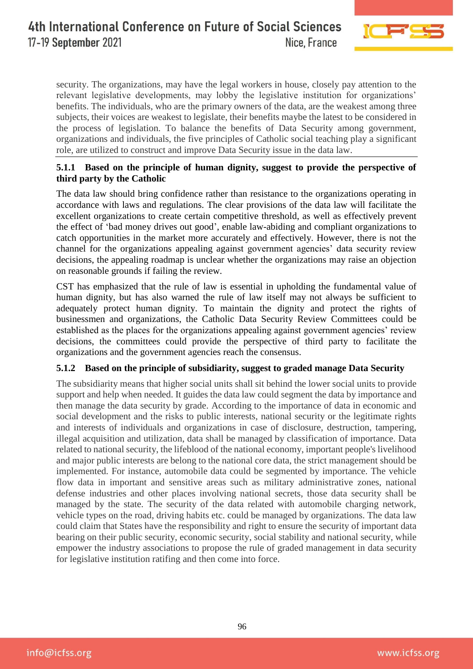

security. The organizations, may have the legal workers in house, closely pay attention to the relevant legislative developments, may lobby the legislative institution for organizations' benefits. The individuals, who are the primary owners of the data, are the weakest among three subjects, their voices are weakest to legislate, their benefits maybe the latest to be considered in the process of legislation. To balance the benefits of Data Security among government, organizations and individuals, the five principles of Catholic social teaching play a significant role, are utilized to construct and improve Data Security issue in the data law.

## **5.1.1 Based on the principle of human dignity, suggest to provide the perspective of third party by the Catholic**

The data law should bring confidence rather than resistance to the organizations operating in accordance with laws and regulations. The clear provisions of the data law will facilitate the excellent organizations to create certain competitive threshold, as well as effectively prevent the effect of 'bad money drives out good', enable law-abiding and compliant organizations to catch opportunities in the market more accurately and effectively. However, there is not the channel for the organizations appealing against government agencies' data security review decisions, the appealing roadmap is unclear whether the organizations may raise an objection on reasonable grounds if failing the review.

CST has emphasized that the rule of law is essential in upholding the fundamental value of human dignity, but has also warned the rule of law itself may not always be sufficient to adequately protect human dignity. To maintain the dignity and protect the rights of businessmen and organizations, the Catholic Data Security Review Committees could be established as the places for the organizations appealing against government agencies' review decisions, the committees could provide the perspective of third party to facilitate the organizations and the government agencies reach the consensus.

# **5.1.2 Based on the principle of subsidiarity, suggest to graded manage Data Security**

The subsidiarity means that higher social units shall sit behind the lower social units to provide support and help when needed. It guides the data law could segment the data by importance and then manage the data security by grade. According to the importance of data in economic and social development and the risks to public interests, national security or the legitimate rights and interests of individuals and organizations in case of disclosure, destruction, tampering, illegal acquisition and utilization, data shall be managed by classification of importance. Data related to national security, the lifeblood of the national economy, important people's livelihood and major public interests are belong to the national core data, the strict management should be implemented. For instance, automobile data could be segmented by importance. The vehicle flow data in important and sensitive areas such as military administrative zones, national defense industries and other places involving national secrets, those data security shall be managed by the state. The security of the data related with automobile charging network, vehicle types on the road, driving habits etc. could be managed by organizations. The data law could claim that States have the responsibility and right to ensure the security of important data bearing on their public security, economic security, social stability and national security, while empower the industry associations to propose the rule of graded management in data security for legislative institution ratifing and then come into force.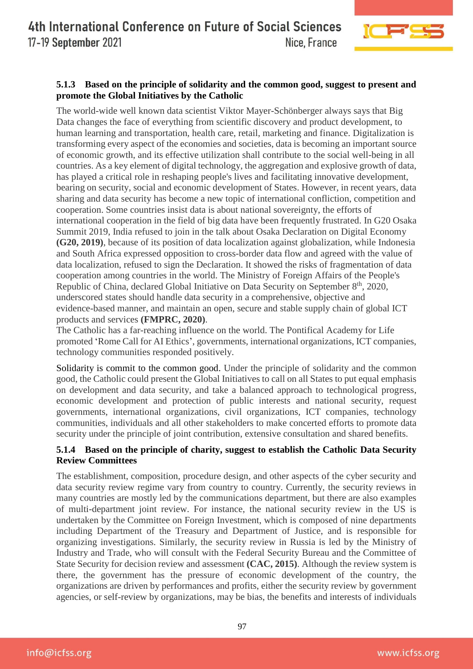

# **5.1.3 Based on the principle of solidarity and the common good, suggest to present and promote the Global Initiatives by the Catholic**

The world-wide well known data scientist Viktor Mayer-Schönberger always says that Big Data changes the face of everything from scientific discovery and product development, to human learning and transportation, health care, retail, marketing and finance. Digitalization is transforming every aspect of the economies and societies, data is becoming an important source of economic growth, and its effective utilization shall contribute to the social well-being in all countries. As a key element of digital technology, the aggregation and explosive growth of data, has played a critical role in reshaping people's lives and facilitating innovative development, bearing on security, social and economic development of States. However, in recent years, data sharing and data security has become a new topic of international confliction, competition and cooperation. Some countries insist data is about national sovereignty, the efforts of international cooperation in the field of big data have been frequently frustrated. In G20 Osaka Summit 2019, India refused to join in the talk about Osaka Declaration on Digital Economy **(G20, 2019)**, because of its position of data localization against globalization, while Indonesia and South Africa expressed opposition to cross-border data flow and agreed with the value of data localization, refused to sign the Declaration. It showed the risks of fragmentation of data cooperation among countries in the world. The Ministry of Foreign Affairs of the People's Republic of China, declared Global Initiative on Data Security on September 8<sup>th</sup>, 2020, underscored states should handle data security in a comprehensive, objective and evidence-based manner, and maintain an open, secure and stable supply chain of global ICT products and services **(FMPRC, 2020)**.

The Catholic has a far-reaching influence on the world. The Pontifical Academy for Life promoted 'Rome Call for AI Ethics', governments, international organizations, ICT companies, technology communities responded positively.

Solidarity is commit to the common good. Under the principle of solidarity and the common good, the Catholic could present the Global Initiatives to call on all States to put equal emphasis on development and data security, and take a balanced approach to technological progress, economic development and protection of public interests and national security, request governments, international organizations, civil organizations, ICT companies, technology communities, individuals and all other stakeholders to make concerted efforts to promote data security under the principle of joint contribution, extensive consultation and shared benefits.

# **5.1.4 Based on the principle of charity, suggest to establish the Catholic Data Security Review Committees**

The establishment, composition, procedure design, and other aspects of the cyber security and data security review regime vary from country to country. Currently, the security reviews in many countries are mostly led by the communications department, but there are also examples of multi-department joint review. For instance, the national security review in the US is undertaken by the Committee on Foreign Investment, which is composed of nine departments including Department of the Treasury and Department of Justice, and is responsible for organizing investigations. Similarly, the security review in Russia is led by the Ministry of Industry and Trade, who will consult with the Federal Security Bureau and the Committee of State Security for decision review and assessment **(CAC, 2015)**. Although the review system is there, the government has the pressure of economic development of the country, the organizations are driven by performances and profits, either the security review by government agencies, or self-review by organizations, may be bias, the benefits and interests of individuals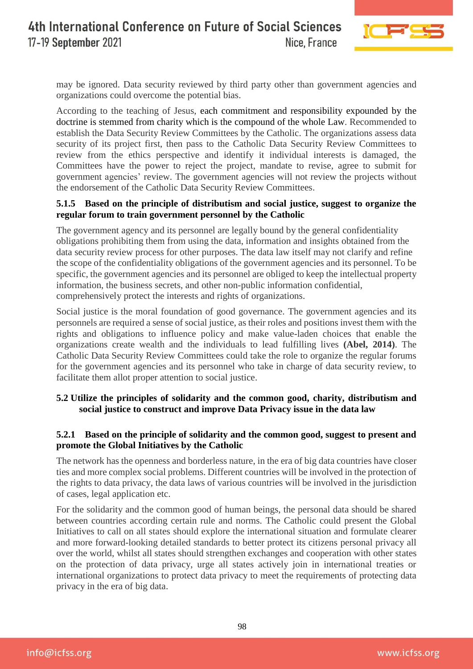

may be ignored. Data security reviewed by third party other than government agencies and organizations could overcome the potential bias.

According to the teaching of Jesus, each commitment and responsibility expounded by the doctrine is stemmed from charity which is the compound of the whole Law. Recommended to establish the Data Security Review Committees by the Catholic. The organizations assess data security of its project first, then pass to the Catholic Data Security Review Committees to review from the ethics perspective and identify it individual interests is damaged, the Committees have the power to reject the project, mandate to revise, agree to submit for government agencies' review. The government agencies will not review the projects without the endorsement of the Catholic Data Security Review Committees.

## **5.1.5 Based on the principle of distributism and social justice, suggest to organize the regular forum to train government personnel by the Catholic**

The government agency and its personnel are legally bound by the general confidentiality obligations prohibiting them from using the data, information and insights obtained from the data security review process for other purposes. The data law itself may not clarify and refine the scope of the confidentiality obligations of the government agencies and its personnel. To be specific, the government agencies and its personnel are obliged to keep the intellectual property information, the business secrets, and other non-public information confidential, comprehensively protect the interests and rights of organizations.

Social justice is the moral foundation of good governance. The government agencies and its personnels are required a sense of social justice, as their roles and positions invest them with the rights and obligations to influence policy and make value-laden choices that enable the organizations create wealth and the individuals to lead fulfilling lives **(Abel, 2014)**. The Catholic Data Security Review Committees could take the role to organize the regular forums for the government agencies and its personnel who take in charge of data security review, to facilitate them allot proper attention to social justice.

# **5.2 Utilize the principles of solidarity and the common good, charity, distributism and social justice to construct and improve Data Privacy issue in the data law**

## **5.2.1 Based on the principle of solidarity and the common good, suggest to present and promote the Global Initiatives by the Catholic**

The network has the openness and borderless nature, in the era of big data countries have closer ties and more complex social problems. Different countries will be involved in the protection of the rights to data privacy, the data laws of various countries will be involved in the jurisdiction of cases, legal application etc.

For the solidarity and the common good of human beings, the personal data should be shared between countries according certain rule and norms. The Catholic could present the Global Initiatives to call on all states should explore the international situation and formulate clearer and more forward-looking detailed standards to better protect its citizens personal privacy all over the world, whilst all states should strengthen exchanges and cooperation with other states on the protection of data privacy, urge all states actively join in international treaties or international organizations to protect data privacy to meet the requirements of protecting data privacy in the era of big data.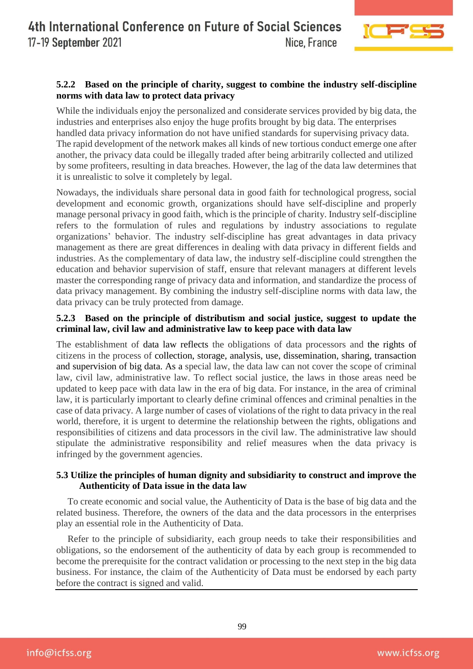

# **5.2.2 Based on the principle of charity, suggest to combine the industry self-discipline norms with data law to protect data privacy**

While the individuals enjoy the personalized and considerate services provided by big data, the industries and enterprises also enjoy the huge profits brought by big data. The enterprises handled data privacy information do not have unified standards for supervising privacy data. The rapid development of the network makes all kinds of new tortious conduct emerge one after another, the privacy data could be illegally traded after being arbitrarily collected and utilized by some profiteers, resulting in data breaches. However, the lag of the data law determines that it is unrealistic to solve it completely by legal.

Nowadays, the individuals share personal data in good faith for technological progress, social development and economic growth, organizations should have self-discipline and properly manage personal privacy in good faith, which is the principle of charity. Industry self-discipline refers to the formulation of rules and regulations by industry associations to regulate organizations' behavior. The industry self-discipline has great advantages in data privacy management as there are great differences in dealing with data privacy in different fields and industries. As the complementary of data law, the industry self-discipline could strengthen the education and behavior supervision of staff, ensure that relevant managers at different levels master the corresponding range of privacy data and information, and standardize the process of data privacy management. By combining the industry self-discipline norms with data law, the data privacy can be truly protected from damage.

# **5.2.3 Based on the principle of distributism and social justice, suggest to update the criminal law, civil law and administrative law to keep pace with data law**

The establishment of data law reflects the obligations of data processors and the rights of citizens in the process of collection, storage, analysis, use, dissemination, sharing, transaction and supervision of big data. As a special law, the data law can not cover the scope of criminal law, civil law, administrative law. To reflect social justice, the laws in those areas need be updated to keep pace with data law in the era of big data. For instance, in the area of criminal law, it is particularly important to clearly define criminal offences and criminal penalties in the case of data privacy. A large number of cases of violations of the right to data privacy in the real world, therefore, it is urgent to determine the relationship between the rights, obligations and responsibilities of citizens and data processors in the civil law. The administrative law should stipulate the administrative responsibility and relief measures when the data privacy is infringed by the government agencies.

## **5.3 Utilize the principles of human dignity and subsidiarity to construct and improve the Authenticity of Data issue in the data law**

To create economic and social value, the Authenticity of Data is the base of big data and the related business. Therefore, the owners of the data and the data processors in the enterprises play an essential role in the Authenticity of Data.

Refer to the principle of subsidiarity, each group needs to take their responsibilities and obligations, so the endorsement of the authenticity of data by each group is recommended to become the prerequisite for the contract validation or processing to the next step in the big data business. For instance, the claim of the Authenticity of Data must be endorsed by each party before the contract is signed and valid.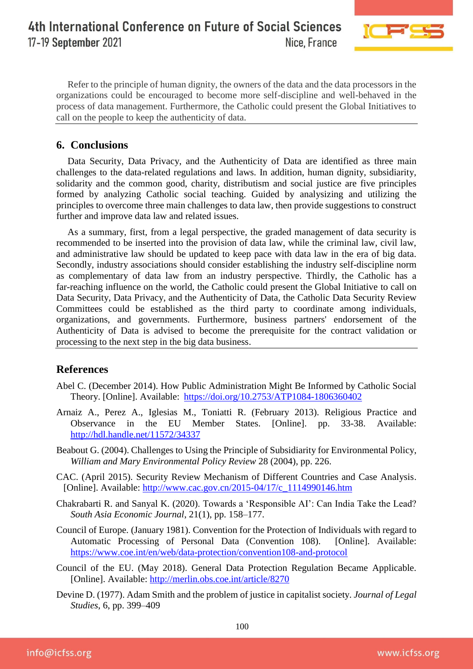#### 4th International Conference on Future of Social Sciences 17-19 September 2021 Nice, France



Refer to the principle of human dignity, the owners of the data and the data processors in the organizations could be encouraged to become more self-discipline and well-behaved in the process of data management. Furthermore, the Catholic could present the Global Initiatives to call on the people to keep the authenticity of data.

# **6. Conclusions**

Data Security, Data Privacy, and the Authenticity of Data are identified as three main challenges to the data-related regulations and laws. In addition, human dignity, subsidiarity, solidarity and the common good, charity, distributism and social justice are five principles formed by analyzing Catholic social teaching. Guided by analysizing and utilizing the principles to overcome three main challenges to data law, then provide suggestions to construct further and improve data law and related issues.

As a summary, first, from a legal perspective, the graded management of data security is recommended to be inserted into the provision of data law, while the criminal law, civil law, and administrative law should be updated to keep pace with data law in the era of big data. Secondly, industry associations should consider establishing the industry self-discipline norm as complementary of data law from an industry perspective. Thirdly, the Catholic has a far-reaching influence on the world, the Catholic could present the Global Initiative to call on Data Security, Data Privacy, and the Authenticity of Data, the Catholic Data Security Review Committees could be established as the third party to coordinate among individuals, organizations, and governments. Furthermore, business partners' endorsement of the Authenticity of Data is advised to become the prerequisite for the contract validation or processing to the next step in the big data business.

# **References**

- Abel C. (December 2014). How Public Administration Might Be Informed by Catholic Social Theory. [Online]. Available: https://doi.org/10.2753/ATP1084-1806360402
- Arnaiz A., Perez A., Iglesias M., Toniatti R. (February 2013). Religious Practice and Observance in the EU Member States. [Online]. pp. 33-38. Available: http://hdl.handle.net/11572/34337
- Beabout G. (2004). Challenges to Using the Principle of Subsidiarity for Environmental Policy, *William and Mary Environmental Policy Review* 28 (2004), pp. 226.
- CAC. (April 2015). Security Review Mechanism of Different Countries and Case Analysis. [Online]. Available: [http://www.cac.gov.cn/2015-04/17/c\\_1114990146.htm](http://www.cac.gov.cn/2015-04/17/c_1114990146.htm)
- Chakrabarti R. and Sanyal K. (2020). Towards a 'Responsible AI': Can India Take the Lead? *South Asia Economic Journal*, 21(1), pp. 158–177.
- Council of Europe. (January 1981). Convention for the Protection of Individuals with regard to Automatic Processing of Personal Data (Convention 108). [Online]. Available: <https://www.coe.int/en/web/data-protection/convention108-and-protocol>
- Council of the EU. (May 2018). General Data Protection Regulation Became Applicable. [Online]. Available:<http://merlin.obs.coe.int/article/8270>
- Devine D. (1977). Adam Smith and the problem of justice in capitalist society. *Journal of Legal Studies*, 6, pp. 399–409